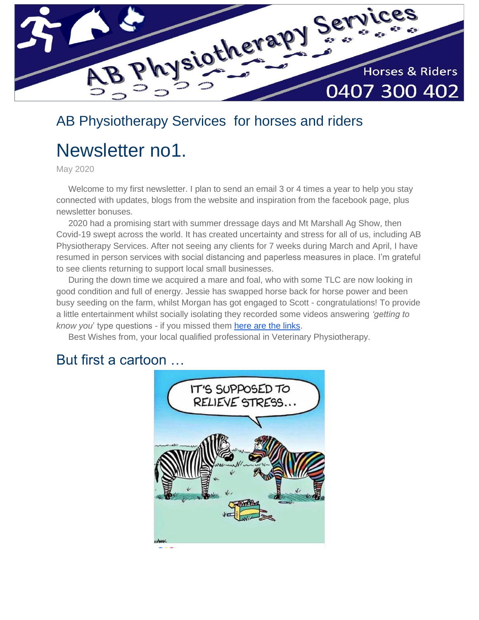

## AB Physiotherapy Services for horses and riders

# Newsletter no1.

May 2020

 Welcome to my first newsletter. I plan to send an email 3 or 4 times a year to help you stay connected with updates, blogs from the website and inspiration from the facebook page, plus newsletter bonuses.

 2020 had a promising start with summer dressage days and Mt Marshall Ag Show, then Covid-19 swept across the world. It has created uncertainty and stress for all of us, including AB Physiotherapy Services. After not seeing any clients for 7 weeks during March and April, I have resumed in person services with social distancing and paperless measures in place. I'm grateful to see clients returning to support local small businesses.

 During the down time we acquired a mare and foal, who with some TLC are now looking in good condition and full of energy. Jessie has swapped horse back for horse power and been busy seeding on the farm, whilst Morgan has got engaged to Scott - congratulations! To provide a little entertainment whilst socially isolating they recorded some videos answering *'getting to know you*' type questions - if you missed them [here are the links.](https://www.facebook.com/pg/ABPhysiotherapyServicesforanimals/videos/?ref=page_internal)

Best Wishes from, your local qualified professional in Veterinary Physiotherapy.

#### But first a cartoon …

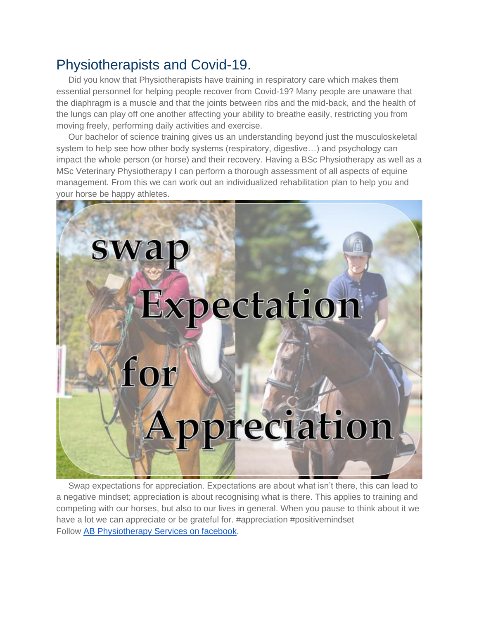## Physiotherapists and Covid-19.

 Did you know that Physiotherapists have training in respiratory care which makes them essential personnel for helping people recover from Covid-19? Many people are unaware that the diaphragm is a muscle and that the joints between ribs and the mid-back, and the health of the lungs can play off one another affecting your ability to breathe easily, restricting you from moving freely, performing daily activities and exercise.

 Our bachelor of science training gives us an understanding beyond just the musculoskeletal system to help see how other body systems (respiratory, digestive…) and psychology can impact the whole person (or horse) and their recovery. Having a BSc Physiotherapy as well as a MSc Veterinary Physiotherapy I can perform a thorough assessment of all aspects of equine management. From this we can work out an individualized rehabilitation plan to help you and your horse be happy athletes.



 Swap expectations for appreciation. Expectations are about what isn't there, this can lead to a negative mindset; appreciation is about recognising what is there. This applies to training and competing with our horses, but also to our lives in general. When you pause to think about it we have a lot we can appreciate or be grateful for. #appreciation #positivemindset Follow [AB Physiotherapy Services on facebook.](https://www.facebook.com/ABPhysiotherapyServicesforanimals/)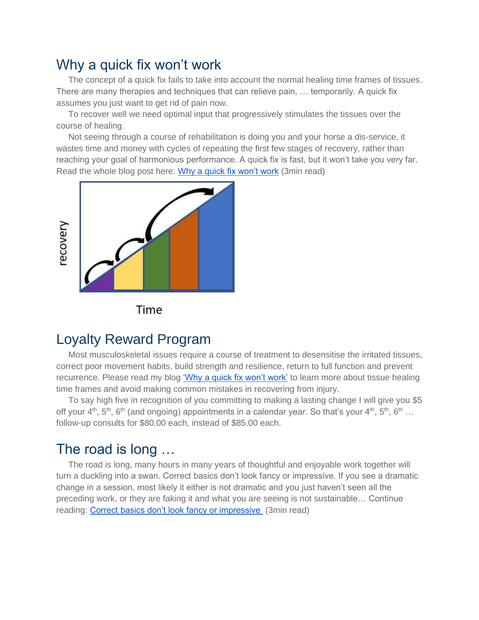#### Why a quick fix won't work

 The concept of a quick fix fails to take into account the normal healing time frames of tissues. There are many therapies and techniques that can relieve pain, … temporarily. A quick fix assumes you just want to get rid of pain now.

 To recover well we need optimal input that progressively stimulates the tissues over the course of healing.

 Not seeing through a course of rehabilitation is doing you and your horse a dis-service, it wastes time and money with cycles of repeating the first few stages of recovery, rather than reaching your goal of harmonious performance. A quick fix is fast, but it won't take you very far. Read the whole blog post here: [Why a quick fix won't work](https://www.abphysio4horseandrider.com/post/why-a-quick-fix-won-t-work) (3min read)



Time

#### Loyalty Reward Program

 Most musculoskeletal issues require a course of treatment to desensitise the irritated tissues, correct poor movement habits, build strength and resilience, return to full function and prevent recurrence. Please read my blog ['Why a quick fix won't work'](https://www.abphysio4horseandrider.com/post/why-a-quick-fix-won-t-work) to learn more about tissue healing time frames and avoid making common mistakes in recovering from injury.

 To say high five in recognition of you committing to making a lasting change I will give you \$5 off your  $4<sup>th</sup>$ ,  $5<sup>th</sup>$ ,  $6<sup>th</sup>$  (and ongoing) appointments in a calendar year. So that's your  $4<sup>th</sup>$ ,  $5<sup>th</sup>$ ,  $6<sup>th</sup>$  ... follow-up consults for \$80.00 each, instead of \$85.00 each.

### The road is long …

 The road is long, many hours in many years of thoughtful and enjoyable work together will turn a duckling into a swan. Correct basics don't look fancy or impressive. If you see a dramatic change in a session, most likely it either is not dramatic and you just haven't seen all the preceding work, or they are faking it and what you are seeing is not sustainable… Continue reading: [Correct basics don't look fancy or impressive](https://www.abphysio4horseandrider.com/post/abracadabra-correct-basics-don-t-look-fancy-or-impressive) (3min read)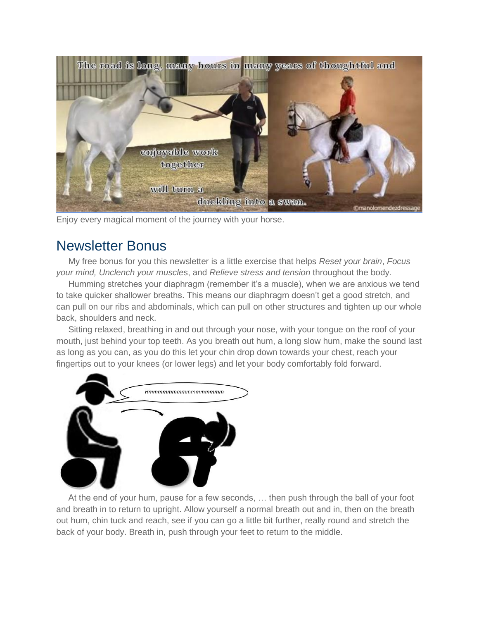

Enjoy every magical moment of the journey with your horse.

#### Newsletter Bonus

 My free bonus for you this newsletter is a little exercise that helps *Reset your brain*, *Focus your mind, Unclench your muscle*s, and *Relieve stress and tension* throughout the body.

 Humming stretches your diaphragm (remember it's a muscle), when we are anxious we tend to take quicker shallower breaths. This means our diaphragm doesn't get a good stretch, and can pull on our ribs and abdominals, which can pull on other structures and tighten up our whole back, shoulders and neck.

 Sitting relaxed, breathing in and out through your nose, with your tongue on the roof of your mouth, just behind your top teeth. As you breath out hum, a long slow hum, make the sound last as long as you can, as you do this let your chin drop down towards your chest, reach your fingertips out to your knees (or lower legs) and let your body comfortably fold forward.



 At the end of your hum, pause for a few seconds, … then push through the ball of your foot and breath in to return to upright. Allow yourself a normal breath out and in, then on the breath out hum, chin tuck and reach, see if you can go a little bit further, really round and stretch the back of your body. Breath in, push through your feet to return to the middle.